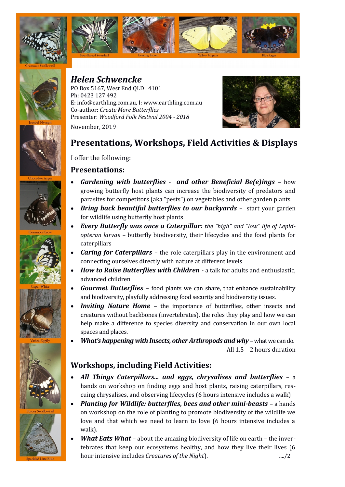





*Helen Schwencke* PO Box 5167, West End QLD 4101 Ph: 0423 127 492 E: info@earthling.com.au, I: www.earthling.com.au Co-author: *Create More Butterflies* Presenter: *Woodford Folk Festival 2004 - 2018*

November, 2019



# **Presentations, Workshops, Field Activities & Displays**

I offer the following:

#### **Presentations:**

- *Gardening with butterflies and other Beneficial Be(e)ings* how growing butterfly host plants can increase the biodiversity of predators and parasites for competitors (aka "pests") on vegetables and other garden plants
- *Bring back beautiful butterflies to our backyards* start your garden for wildlife using butterfly host plants
- *Every Butterfly was once a Caterpillar: the "high" and "low" life of Lepidopteran larvae* – butterfly biodiversity, their lifecycles and the food plants for caterpillars
- *Caring for Caterpillars*  the role caterpillars play in the environment and connecting ourselves directly with nature at different levels
- *How to Raise Butterflies with Children*  a talk for adults and enthusiastic, advanced children
- *Gourmet Butterflies*  food plants we can share, that enhance sustainability and biodiversity, playfully addressing food security and biodiversity issues.
- *Inviting Nature Home* the importance of butterflies, other insects and creatures without backbones (invertebrates), the roles they play and how we can help make a difference to species diversity and conservation in our own local spaces and places.
- *What's happening with Insects, other Arthropods and why* what we can do. All 1.5 – 2 hours duration

## **Workshops, including Field Activities:**

- *All Things Caterpillars... and eggs, chrysalises and butterflies* a hands on workshop on finding eggs and host plants, raising caterpillars, rescuing chrysalises, and observing lifecycles (6 hours intensive includes a walk)
- *Planting for Wildlife: butterflies, bees and other mini-beasts* a hands on workshop on the role of planting to promote biodiversity of the wildlife we love and that which we need to learn to love (6 hours intensive includes a walk).
- *What Eats What* about the amazing biodiversity of life on earth the invertebrates that keep our ecosystems healthy, and how they live their lives (6 hour intensive includes *Creatures of the Night*). …./2